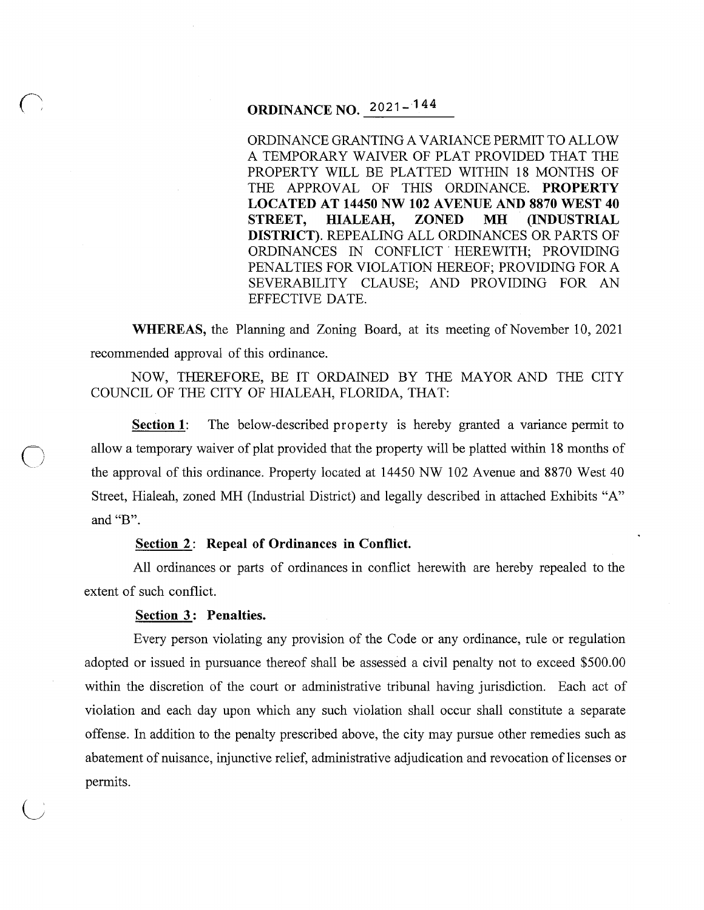## **ORDINANCE NO.** 2021- 144

ORDINANCE GRANTING A VARIANCE PERMIT TO ALLOW A TEMPORARY WAIVER OF PLAT PROVIDED THAT THE PROPERTY WILL BE PLATTED WITHIN 18 MONTHS OF THE APPROVAL OF THIS ORDINANCE. **PROPERTY LOCATED AT 14450NW102 AVENUE AND 8870 WEST 40 STREET, HIALEAH, ZONED MH (INDUSTRIAL DISTRICT).** REPEALING ALL ORDINANCES OR PARTS OF ORDINANCES IN CONFLICT HEREWITH; PROVIDING PENALTIES FOR VIOLATION HEREOF; PROVIDING FORA SEVERABILITY CLAUSE; AND PROVIDING FOR AN EFFECTIVE DATE.

**WHEREAS,** the Planning and Zoning Board, at its meeting of November 10, 2021 recommended approval of this ordinance.

NOW, THEREFORE, BE IT ORDAINED BY THE MAYOR AND THE CITY COUNCIL OF THE CITY OF HIALEAH, FLORIDA, THAT:

**Section 1:** The below-described property is hereby granted a variance permit to allow a temporary waiver of plat provided that the property will be platted within 18 months of the approval of this ordinance. Property located at 14450 NW 102 Avenue and 8870 West 40 Street, Hialeah, zoned MH (Industrial District) and legally described in attached Exhibits "A" and "B".

#### Section 2: Repeal of Ordinances in Conflict.

All ordinances or parts of ordinances in conflict herewith are hereby repealed to the extent of such conflict.

#### Section 3: Penalties.

 $\bigcirc$ 

Every person violating any provision of the Code or any ordinance, rule or regulation adopted or issued in pursuance thereof shall be assessed a civil penalty not to exceed \$500.00 within the discretion of the court or administrative tribunal having jurisdiction. Each act of violation and each day upon which any such violation shall occur shall constitute a separate offense. In addition to the penalty prescribed above, the city may pursue other remedies such as abatement of nuisance, injunctive relief, administrative adjudication and revocation of licenses or permits.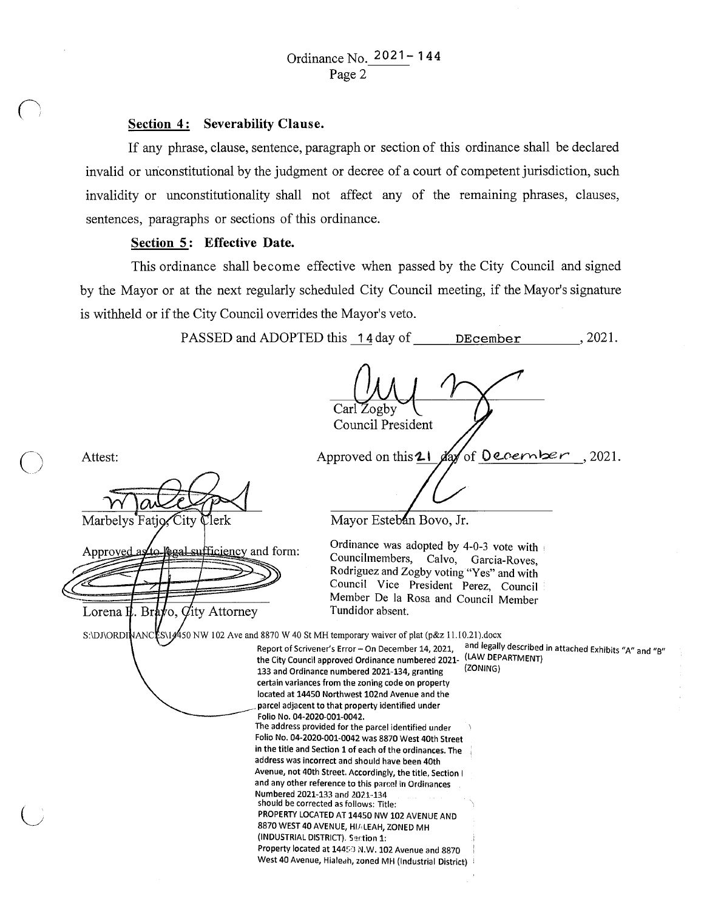#### Section 4: Severability Clause.

If any phrase, clause, sentence, paragraph or section of this ordinance shall be declared invalid or unconstitutional by the judgment or decree of a court of competent jurisdiction, such invalidity or unconstitutionality shall not affect any of the remaining phrases, clauses, sentences, paragraphs or sections of this ordinance.

### Section 5: Effective Date.

 $\bigcirc$ 

This ordinance shall become effective when passed by the City Council and signed by the Mayor or at the next regularly scheduled City Council meeting, if the Mayor's signature is withheld or if the City Council overrides the Mayor's veto.

PASSED and ADOPTED this  $14 \text{ day of}$  DEcember , 2021.

Carl Zogby Council President Attest: Approved on this  $2\ell$ of December, 2021. dax Mayor Esteban Bovo, Jr. City Marbelys Fatio lerk Ordinance was adopted by 4-0-3 vote with • Approved a **egal sufficiency and form:** Councilmembers, Calvo, Garcia-Roves, Rodriguez and Zogby voting "Yes" and with Council Vice President Perez, Council Member De la Rosa and Council Member Lorena  $\mathbf{H}$ . Brato, *Q*ity Attorney Tundidor absent. S:\DJ\ORDINANCES\14450 NW 102 Ave and 8870 W 40 St MH temporary waiver of plat (p&z 11.10.21).docx Report of Scrivener's Error - On December 14, 2021, and legally described in attached Exhibits "A" and "B" the City Council approved Ordinance numbered 2021- (LAW DEPARTMENT)<br>133 and Ordinance numbered 2021-134, grapting (ZONING) 133 and Ordinance numbered 2021-134, granting certain variances from the zoning code on property located at 14450 Northwest 102nd Avenue and the parcel adjacent to that property identified under Folio No. 04-2020-001-0042. The address provided for the parcel identified under Folio No. 04-2020-001-0042 was 8870 West 40th Street in the title and Section 1 of each of the ordinances. The address was incorrect and should have been 40th Avenue, not 40th Street. Accordingly, the title, Section I and any other reference to this parcel in Ordinances Numbered 2021-133 and 2021-134 should be corrected as follows: Title: PROPERTY LOCATED AT 14450 NW 102 AVENUE AND 8870 WEST 40 AVENUE, HIALEAH, ZONED MH (INDUSTRIAL DISTRICT). Section 1: Property located at 14453 N.W. 102 Avenue and 8870 West 40 Avenue, Hialeah, zoned MH (Industrial District)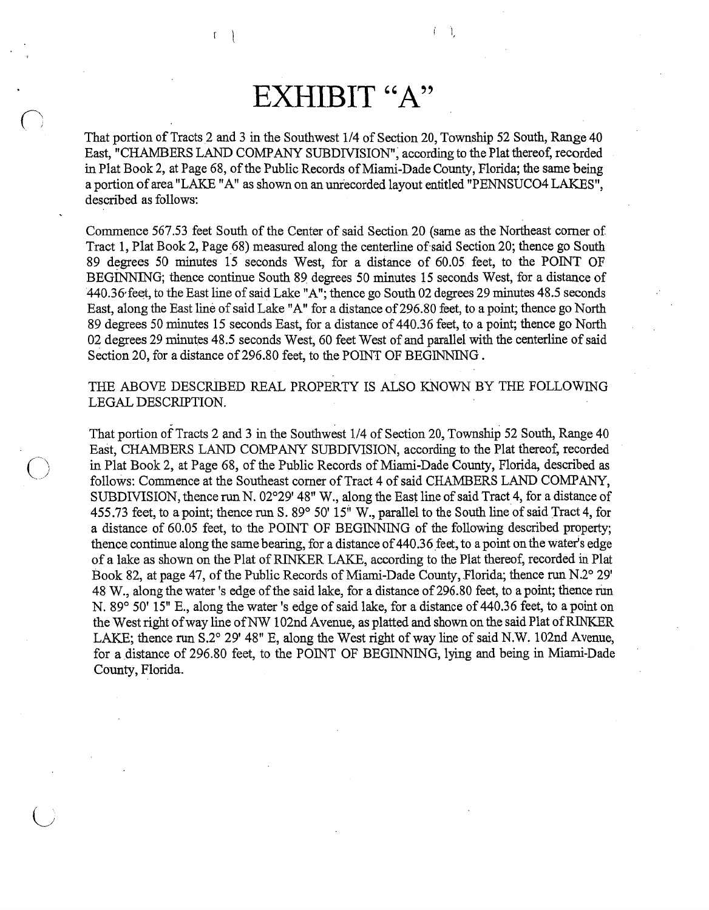# **EXHIBIT "A"**

 $\mathbf{1}$ 

That portion of Tracts 2 and 3 in the Southwest 114 of Section 20, Township 52 South, Range 40 East, "CHAMBERS LAND COMPANY SUBDIVISION", according to the Plat thereof, recorded in Plat Book 2, at Page 68, of the Public Records of Miami-Dade County, Florida; the same being a portion of area "LAKE "A" as shown on an unrecorded layout entitled "PENNSUC04 LAKES", described as follows:

Commence 567.53 feet South of the Center of said Section 20 (same as the Northeast comer of Tract 1, Plat Book 2, Page 68) measured along the centerline of said Section 20; thence go South 89 degrees 50 minutes 15 seconds West, for a distance of 60.05 feet, to the POINT OF BEGINNING; thence continue South 89 degrees 50 minutes 15 seconds West, for a distance of 440.36 feet, to the East line of said Lake "A"; thence go South 02 degrees 29 minutes 48.5 seconds East, along the East line of said Lake "A" for a distance of 296.80 feet, to a point; thence go North 89 degrees 50 minutes 15 seconds East, for a distance of 440.36 feet, to a point; thence go North 02 degrees 29 minutes 48.5 seconds West, 60 feet West of and parallel with the centerline of said Section 20, for a distance of 296.80 feet, to the POINT OF BEGINNING.

THE ABOVE DESCRIBED REAL PROPERTY IS ALSO KNOWN BY THE FOLLOWlNG LEGAL DESCRIPTION.

 $\frac{1}{2}$ That portion of Tracts 2 and 3 in the Southwest 114 of Section 20, Township 52 South, Range 40 East, CHAMBERS LAND COMPANY SUBDIVISION, according to the Plat thereof, recorded in Plat Book 2, at Page 68, of the Public Records of Miami-Dade County, Florida, described as follows: Commence at the Southeast comer of Tract 4 of said CHAMBERS LAND COMPANY, SUBDIVISION, thence run N. 02°29' 48" W., along the East line of said Tract 4, for a distance of 455. 73 feet, to a point; thence run S. 89° 50' 15'' W., parallel to the South line of said Tract 4, for a distance of 60.05 feet, to the POINT OF BEGINNING of the following described property; thence continue along the same bearing, for a distance of 440.36 feet, to a point on the water's edge of a lake as shown on the Plat of RINKER LAKE, according to the Plat thereof, recorded in Plat Book 82, at page 47, of the Public Records of Miami-Dade County, Florida; thence run N.2° 29' 48 W., along the water's edge of the said lake, for a distance of 296.80 feet, to a point; thence rim N. 89° 50' 15" E., along the water's edge of said lake, for a distance of 440.36 feet, to a point on the West right of way line of NW 102nd Avenue, as platted and shown on the said Plat ofRJNKER LAKE; thence run S.2° 29' 48" E, along the West right of way line of said N.W. 102nd Avenue, for a distance of 296.80 feet, to the POINT OF BEGINNING, lying and being in Miami-Dade County, Florida.